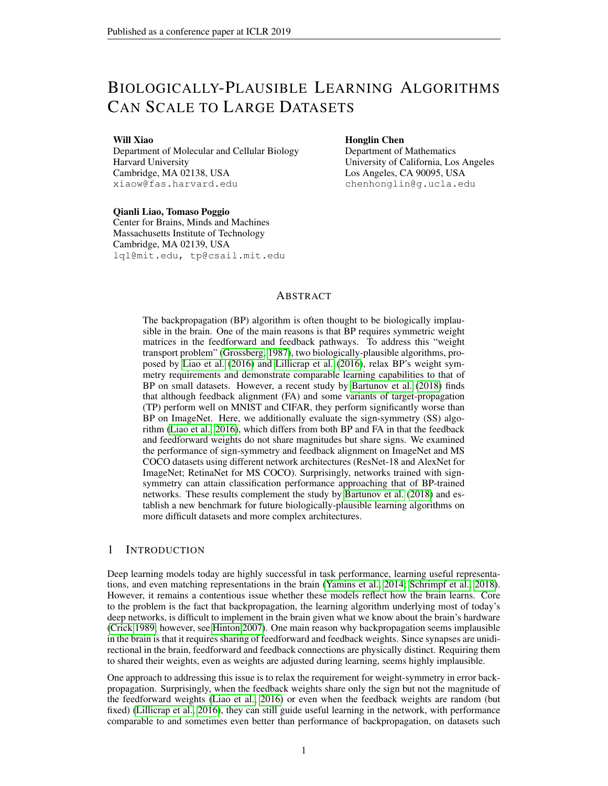# BIOLOGICALLY-PLAUSIBLE LEARNING ALGORITHMS CAN SCALE TO LARGE DATASETS

#### Will Xiao

Department of Molecular and Cellular Biology Harvard University Cambridge, MA 02138, USA xiaow@fas.harvard.edu

# Honglin Chen

Department of Mathematics University of California, Los Angeles Los Angeles, CA 90095, USA chenhonglin@g.ucla.edu

#### Qianli Liao, Tomaso Poggio

Center for Brains, Minds and Machines Massachusetts Institute of Technology Cambridge, MA 02139, USA lql@mit.edu, tp@csail.mit.edu

### ABSTRACT

The backpropagation (BP) algorithm is often thought to be biologically implausible in the brain. One of the main reasons is that BP requires symmetric weight matrices in the feedforward and feedback pathways. To address this "weight transport problem" [\(Grossberg, 1987\)](#page-7-0), two biologically-plausible algorithms, proposed by [Liao et al.](#page-8-0) [\(2016\)](#page-8-0) and [Lillicrap et al.](#page-8-1) [\(2016\)](#page-8-1), relax BP's weight symmetry requirements and demonstrate comparable learning capabilities to that of BP on small datasets. However, a recent study by [Bartunov et al.](#page-7-1) [\(2018\)](#page-7-1) finds that although feedback alignment (FA) and some variants of target-propagation (TP) perform well on MNIST and CIFAR, they perform significantly worse than BP on ImageNet. Here, we additionally evaluate the sign-symmetry (SS) algorithm [\(Liao et al., 2016\)](#page-8-0), which differs from both BP and FA in that the feedback and feedforward weights do not share magnitudes but share signs. We examined the performance of sign-symmetry and feedback alignment on ImageNet and MS COCO datasets using different network architectures (ResNet-18 and AlexNet for ImageNet; RetinaNet for MS COCO). Surprisingly, networks trained with signsymmetry can attain classification performance approaching that of BP-trained networks. These results complement the study by [Bartunov et al.](#page-7-1) [\(2018\)](#page-7-1) and establish a new benchmark for future biologically-plausible learning algorithms on more difficult datasets and more complex architectures.

## 1 INTRODUCTION

Deep learning models today are highly successful in task performance, learning useful representations, and even matching representations in the brain [\(Yamins et al., 2014;](#page-8-2) [Schrimpf et al., 2018\)](#page-8-3). However, it remains a contentious issue whether these models reflect how the brain learns. Core to the problem is the fact that backpropagation, the learning algorithm underlying most of today's deep networks, is difficult to implement in the brain given what we know about the brain's hardware [\(Crick 1989;](#page-7-2) however, see [Hinton 2007\)](#page-7-3). One main reason why backpropagation seems implausible in the brain is that it requires sharing of feedforward and feedback weights. Since synapses are unidirectional in the brain, feedforward and feedback connections are physically distinct. Requiring them to shared their weights, even as weights are adjusted during learning, seems highly implausible.

One approach to addressing this issue is to relax the requirement for weight-symmetry in error backpropagation. Surprisingly, when the feedback weights share only the sign but not the magnitude of the feedforward weights [\(Liao et al., 2016\)](#page-8-0) or even when the feedback weights are random (but fixed) [\(Lillicrap et al., 2016\)](#page-8-1), they can still guide useful learning in the network, with performance comparable to and sometimes even better than performance of backpropagation, on datasets such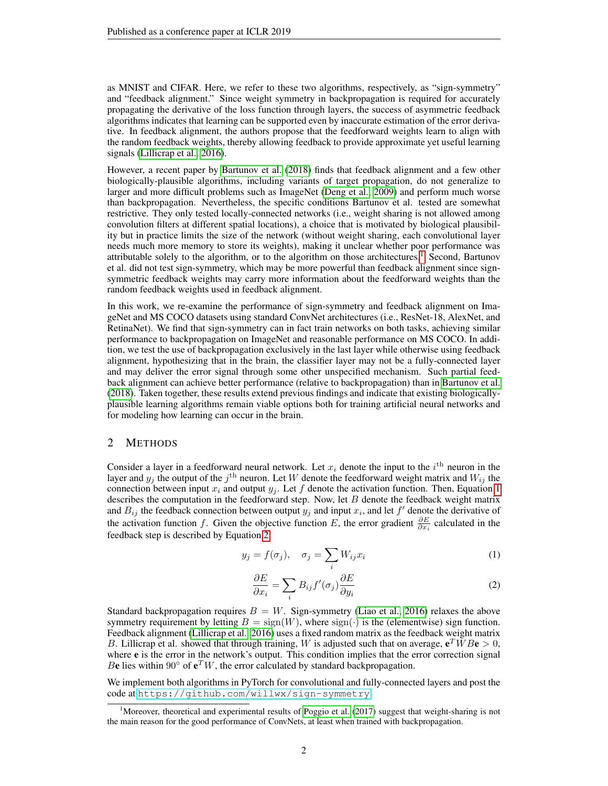as MNIST and CIFAR. Here, we refer to these two algorithms, respectively, as "sign-symmetry" and "feedback alignment." Since weight symmetry in backpropagation is required for accurately propagating the derivative of the loss function through layers, the success of asymmetric feedback algorithms indicates that learning can be supported even by inaccurate estimation of the error derivative. In feedback alignment, the authors propose that the feedforward weights learn to align with the random feedback weights, thereby allowing feedback to provide approximate yet useful learning signals [\(Lillicrap et al., 2016\)](#page-8-1).

However, a recent paper by [Bartunov et al.](#page-7-1) [\(2018\)](#page-7-1) finds that feedback alignment and a few other biologically-plausible algorithms, including variants of target propagation, do not generalize to larger and more difficult problems such as ImageNet [\(Deng et al., 2009\)](#page-7-4) and perform much worse than backpropagation. Nevertheless, the specific conditions Bartunov et al. tested are somewhat restrictive. They only tested locally-connected networks (i.e., weight sharing is not allowed among convolution filters at different spatial locations), a choice that is motivated by biological plausibility but in practice limits the size of the network (without weight sharing, each convolutional layer needs much more memory to store its weights), making it unclear whether poor performance was attributable solely to the algorithm, or to the algorithm on those architectures.<sup>[1](#page-1-0)</sup> Second, Bartunov et al. did not test sign-symmetry, which may be more powerful than feedback alignment since signsymmetric feedback weights may carry more information about the feedforward weights than the random feedback weights used in feedback alignment.

In this work, we re-examine the performance of sign-symmetry and feedback alignment on ImageNet and MS COCO datasets using standard ConvNet architectures (i.e., ResNet-18, AlexNet, and RetinaNet). We find that sign-symmetry can in fact train networks on both tasks, achieving similar performance to backpropagation on ImageNet and reasonable performance on MS COCO. In addition, we test the use of backpropagation exclusively in the last layer while otherwise using feedback alignment, hypothesizing that in the brain, the classifier layer may not be a fully-connected layer and may deliver the error signal through some other unspecified mechanism. Such partial feedback alignment can achieve better performance (relative to backpropagation) than in [Bartunov et al.](#page-7-1) [\(2018\)](#page-7-1). Taken together, these results extend previous findings and indicate that existing biologicallyplausible learning algorithms remain viable options both for training artificial neural networks and for modeling how learning can occur in the brain.

## 2 METHODS

Consider a layer in a feedforward neural network. Let  $x_i$  denote the input to the  $i<sup>th</sup>$  neuron in the layer and  $y_j$  the output of the  $j^{\text{th}}$  neuron. Let W denote the feedforward weight matrix and  $W_{ij}$  the connection between input  $x_i$  and output  $y_j$ . Let f denote the activation function. Then, Equation [1](#page-1-1) describes the computation in the feedforward step. Now, let  $B$  denote the feedback weight matrix and  $B_{ij}$  the feedback connection between output  $y_j$  and input  $x_i$ , and let  $f'$  denote the derivative of the activation function f. Given the objective function E, the error gradient  $\frac{\partial E}{\partial x_i}$  calculated in the feedback step is described by Equation [2.](#page-1-2)

$$
y_j = f(\sigma_j), \quad \sigma_j = \sum_i W_{ij} x_i \tag{1}
$$

<span id="page-1-2"></span><span id="page-1-1"></span>
$$
\frac{\partial E}{\partial x_i} = \sum_i B_{ij} f'(\sigma_j) \frac{\partial E}{\partial y_i} \tag{2}
$$

Standard backpropagation requires  $B = W$ . Sign-symmetry [\(Liao et al., 2016\)](#page-8-0) relaxes the above symmetry requirement by letting  $B = \text{sign}(W)$ , where  $\text{sign}(\cdot)$  is the (elementwise) sign function. Feedback alignment [\(Lillicrap et al., 2016\)](#page-8-1) uses a fixed random matrix as the feedback weight matrix B. Lillicrap et al. showed that through training, W is adjusted such that on average,  $e^T \overline{W} B e > 0$ , where **e** is the error in the network's output. This condition implies that the error correction signal Be lies within 90 $\degree$  of  $e^T W$ , the error calculated by standard backpropagation.

We implement both algorithms in PyTorch for convolutional and fully-connected layers and post the code at <https://github.com/willwx/sign-symmetry>.

<span id="page-1-0"></span><sup>&</sup>lt;sup>1</sup>Moreover, theoretical and experimental results of [Poggio et al.](#page-8-4) [\(2017\)](#page-8-4) suggest that weight-sharing is not the main reason for the good performance of ConvNets, at least when trained with backpropagation.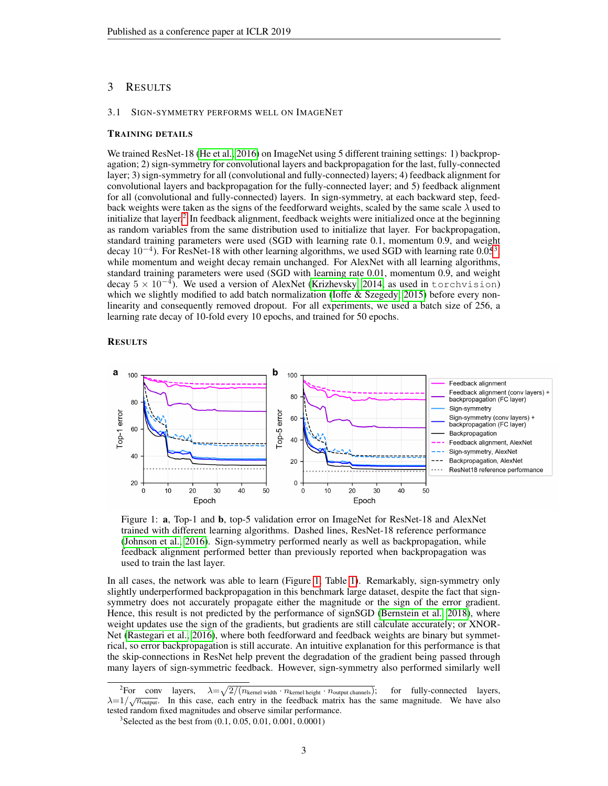# 3 RESULTS

#### 3.1 SIGN-SYMMETRY PERFORMS WELL ON IMAGENET

### TRAINING DETAILS

We trained ResNet-18 [\(He et al., 2016\)](#page-7-5) on ImageNet using 5 different training settings: 1) backpropagation; 2) sign-symmetry for convolutional layers and backpropagation for the last, fully-connected layer; 3) sign-symmetry for all (convolutional and fully-connected) layers; 4) feedback alignment for convolutional layers and backpropagation for the fully-connected layer; and 5) feedback alignment for all (convolutional and fully-connected) layers. In sign-symmetry, at each backward step, feedback weights were taken as the signs of the feedforward weights, scaled by the same scale  $\lambda$  used to initialize that layer.<sup>[2](#page-2-0)</sup> In feedback alignment, feedback weights were initialized once at the beginning as random variables from the same distribution used to initialize that layer. For backpropagation, standard training parameters were used (SGD with learning rate 0.1, momentum 0.9, and weight decay  $10^{-4}$ ). For ResNet-18 with other learning algorithms, we used SGD with learning rate 0.05<sup>[3](#page-2-1)</sup>, while momentum and weight decay remain unchanged. For AlexNet with all learning algorithms, standard training parameters were used (SGD with learning rate 0.01, momentum 0.9, and weight decay  $5 \times 10^{-4}$ ). We used a version of AlexNet [\(Krizhevsky, 2014,](#page-7-6) as used in torchvision) which we slightly modified to add batch normalization (Ioffe  $&$  Szegedy, 2015) before every nonlinearity and consequently removed dropout. For all experiments, we used a batch size of 256, a learning rate decay of 10-fold every 10 epochs, and trained for 50 epochs.

#### **RESULTS**

<span id="page-2-2"></span>

Figure 1: a, Top-1 and b, top-5 validation error on ImageNet for ResNet-18 and AlexNet trained with different learning algorithms. Dashed lines, ResNet-18 reference performance [\(Johnson et al., 2016\)](#page-7-8). Sign-symmetry performed nearly as well as backpropagation, while feedback alignment performed better than previously reported when backpropagation was used to train the last layer.

In all cases, the network was able to learn (Figure [1,](#page-2-2) Table [1\)](#page-3-0). Remarkably, sign-symmetry only slightly underperformed backpropagation in this benchmark large dataset, despite the fact that signsymmetry does not accurately propagate either the magnitude or the sign of the error gradient. Hence, this result is not predicted by the performance of signSGD [\(Bernstein et al., 2018\)](#page-7-9), where weight updates use the sign of the gradients, but gradients are still calculate accurately; or XNOR-Net [\(Rastegari et al., 2016\)](#page-8-5), where both feedforward and feedback weights are binary but symmetrical, so error backpropagation is still accurate. An intuitive explanation for this performance is that the skip-connections in ResNet help prevent the degradation of the gradient being passed through many layers of sign-symmetric feedback. However, sign-symmetry also performed similarly well

<span id="page-2-0"></span><sup>&</sup>lt;sup>2</sup>For conv layers,  $\lambda =$  $\sqrt{2/(n_{\text{kernel width}} \cdot n_{\text{kernel height}} \cdot n_{\text{output channels}})}$ ; for fully-connected layers,  $\lambda = 1/\sqrt{n_{\text{output}}}$ . In this case, each entry in the feedback matrix has the same magnitude. We have also tested random fixed magnitudes and observe similar performance.

<span id="page-2-1"></span><sup>&</sup>lt;sup>3</sup> Selected as the best from (0.1, 0.05, 0.01, 0.001, 0.0001)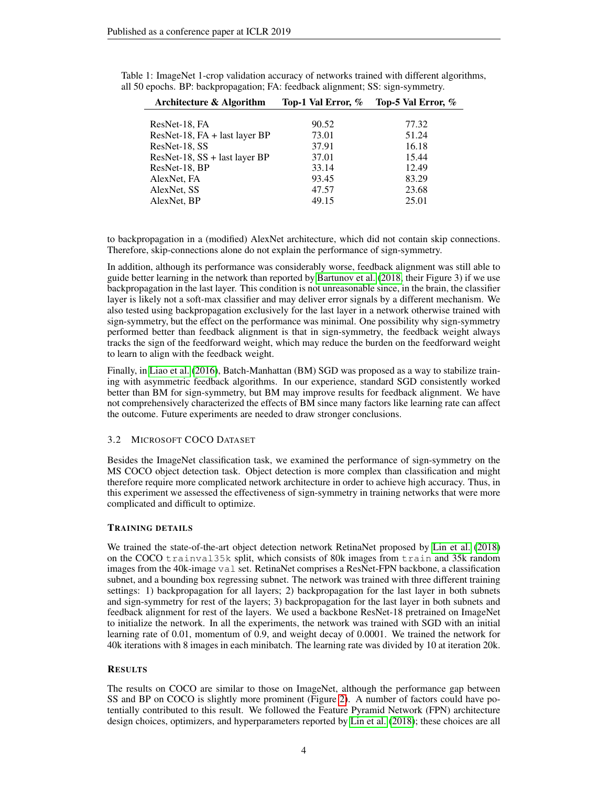| Architecture & Algorithm           | Top-1 Val Error, % | Top-5 Val Error, % |
|------------------------------------|--------------------|--------------------|
|                                    |                    |                    |
| ResNet-18, FA                      | 90.52              | 77.32              |
| $ResNet-18$ , $FA + last layer BP$ | 73.01              | 51.24              |
| ResNet-18, SS                      | 37.91              | 16.18              |
| ResNet-18, $SS$ + last layer BP    | 37.01              | 15.44              |
| ResNet-18, BP                      | 33.14              | 12.49              |
| AlexNet, FA                        | 93.45              | 83.29              |
| AlexNet, SS                        | 47.57              | 23.68              |
| AlexNet, BP                        | 49.15              | 25.01              |
|                                    |                    |                    |

<span id="page-3-0"></span>Table 1: ImageNet 1-crop validation accuracy of networks trained with different algorithms, all 50 epochs. BP: backpropagation; FA: feedback alignment; SS: sign-symmetry.

to backpropagation in a (modified) AlexNet architecture, which did not contain skip connections. Therefore, skip-connections alone do not explain the performance of sign-symmetry.

In addition, although its performance was considerably worse, feedback alignment was still able to guide better learning in the network than reported by [Bartunov et al.](#page-7-1) [\(2018,](#page-7-1) their Figure 3) if we use backpropagation in the last layer. This condition is not unreasonable since, in the brain, the classifier layer is likely not a soft-max classifier and may deliver error signals by a different mechanism. We also tested using backpropagation exclusively for the last layer in a network otherwise trained with sign-symmetry, but the effect on the performance was minimal. One possibility why sign-symmetry performed better than feedback alignment is that in sign-symmetry, the feedback weight always tracks the sign of the feedforward weight, which may reduce the burden on the feedforward weight to learn to align with the feedback weight.

Finally, in [Liao et al.](#page-8-0) [\(2016\)](#page-8-0), Batch-Manhattan (BM) SGD was proposed as a way to stabilize training with asymmetric feedback algorithms. In our experience, standard SGD consistently worked better than BM for sign-symmetry, but BM may improve results for feedback alignment. We have not comprehensively characterized the effects of BM since many factors like learning rate can affect the outcome. Future experiments are needed to draw stronger conclusions.

## 3.2 MICROSOFT COCO DATASET

Besides the ImageNet classification task, we examined the performance of sign-symmetry on the MS COCO object detection task. Object detection is more complex than classification and might therefore require more complicated network architecture in order to achieve high accuracy. Thus, in this experiment we assessed the effectiveness of sign-symmetry in training networks that were more complicated and difficult to optimize.

## TRAINING DETAILS

We trained the state-of-the-art object detection network RetinaNet proposed by [Lin et al.](#page-8-6) [\(2018\)](#page-8-6) on the COCO trainval35k split, which consists of 80k images from train and 35k random images from the 40k-image val set. RetinaNet comprises a ResNet-FPN backbone, a classification subnet, and a bounding box regressing subnet. The network was trained with three different training settings: 1) backpropagation for all layers; 2) backpropagation for the last layer in both subnets and sign-symmetry for rest of the layers; 3) backpropagation for the last layer in both subnets and feedback alignment for rest of the layers. We used a backbone ResNet-18 pretrained on ImageNet to initialize the network. In all the experiments, the network was trained with SGD with an initial learning rate of 0.01, momentum of 0.9, and weight decay of 0.0001. We trained the network for 40k iterations with 8 images in each minibatch. The learning rate was divided by 10 at iteration 20k.

## **RESULTS**

The results on COCO are similar to those on ImageNet, although the performance gap between SS and BP on COCO is slightly more prominent (Figure [2\)](#page-4-0). A number of factors could have potentially contributed to this result. We followed the Feature Pyramid Network (FPN) architecture design choices, optimizers, and hyperparameters reported by [Lin et al.](#page-8-6) [\(2018\)](#page-8-6); these choices are all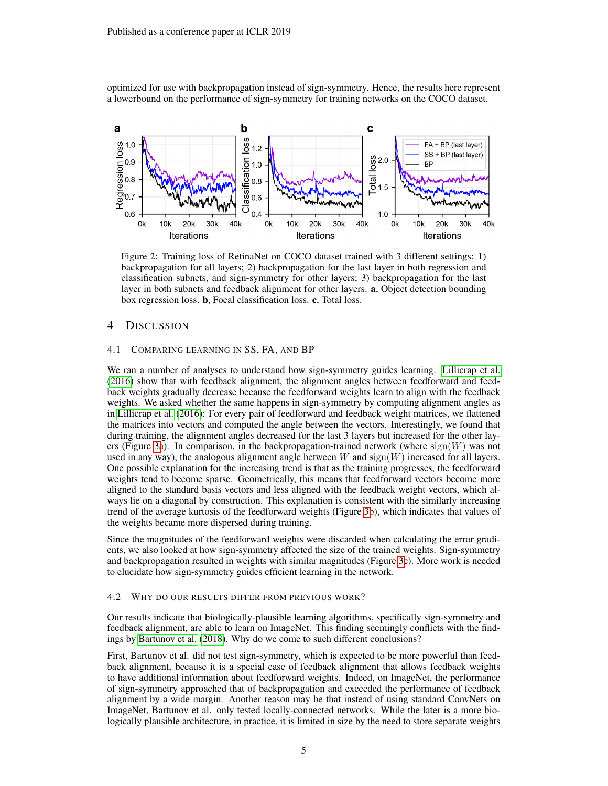optimized for use with backpropagation instead of sign-symmetry. Hence, the results here represent a lowerbound on the performance of sign-symmetry for training networks on the COCO dataset.

<span id="page-4-0"></span>

Figure 2: Training loss of RetinaNet on COCO dataset trained with 3 different settings: 1) backpropagation for all layers; 2) backpropagation for the last layer in both regression and classification subnets, and sign-symmetry for other layers; 3) backpropagation for the last layer in both subnets and feedback alignment for other layers. a, Object detection bounding box regression loss. b, Focal classification loss. c, Total loss.

## 4 DISCUSSION

## 4.1 COMPARING LEARNING IN SS, FA, AND BP

We ran a number of analyses to understand how sign-symmetry guides learning. [Lillicrap et al.](#page-8-1) [\(2016\)](#page-8-1) show that with feedback alignment, the alignment angles between feedforward and feedback weights gradually decrease because the feedforward weights learn to align with the feedback weights. We asked whether the same happens in sign-symmetry by computing alignment angles as in [Lillicrap et al.](#page-8-1) [\(2016\)](#page-8-1): For every pair of feedforward and feedback weight matrices, we flattened the matrices into vectors and computed the angle between the vectors. Interestingly, we found that during training, the alignment angles decreased for the last 3 layers but increased for the other lay-ers (Figure [3a](#page-5-0)). In comparison, in the backpropagation-trained network (where  $sign(W)$  was not used in any way), the analogous alignment angle between W and  $sign(W)$  increased for all layers. One possible explanation for the increasing trend is that as the training progresses, the feedforward weights tend to become sparse. Geometrically, this means that feedforward vectors become more aligned to the standard basis vectors and less aligned with the feedback weight vectors, which always lie on a diagonal by construction. This explanation is consistent with the similarly increasing trend of the average kurtosis of the feedforward weights (Figure [3b](#page-5-0)), which indicates that values of the weights became more dispersed during training.

Since the magnitudes of the feedforward weights were discarded when calculating the error gradients, we also looked at how sign-symmetry affected the size of the trained weights. Sign-symmetry and backpropagation resulted in weights with similar magnitudes (Figure [3c](#page-5-0)). More work is needed to elucidate how sign-symmetry guides efficient learning in the network.

#### 4.2 WHY DO OUR RESULTS DIFFER FROM PREVIOUS WORK?

Our results indicate that biologically-plausible learning algorithms, specifically sign-symmetry and feedback alignment, are able to learn on ImageNet. This finding seemingly conflicts with the findings by [Bartunov et al.](#page-7-1) [\(2018\)](#page-7-1). Why do we come to such different conclusions?

First, Bartunov et al. did not test sign-symmetry, which is expected to be more powerful than feedback alignment, because it is a special case of feedback alignment that allows feedback weights to have additional information about feedforward weights. Indeed, on ImageNet, the performance of sign-symmetry approached that of backpropagation and exceeded the performance of feedback alignment by a wide margin. Another reason may be that instead of using standard ConvNets on ImageNet, Bartunov et al. only tested locally-connected networks. While the later is a more biologically plausible architecture, in practice, it is limited in size by the need to store separate weights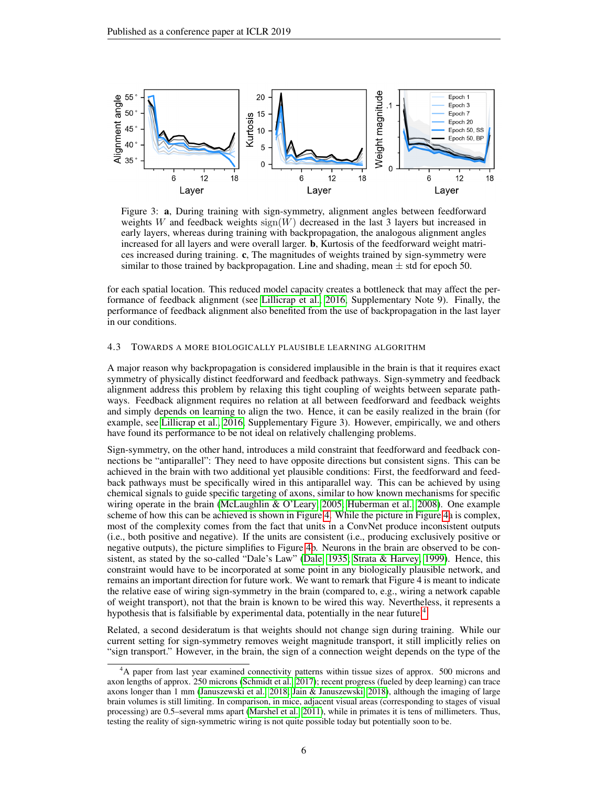<span id="page-5-0"></span>

Figure 3: a, During training with sign-symmetry, alignment angles between feedforward weights W and feedback weights  $sign(W)$  decreased in the last 3 layers but increased in early layers, whereas during training with backpropagation, the analogous alignment angles increased for all layers and were overall larger. b, Kurtosis of the feedforward weight matrices increased during training. c, The magnitudes of weights trained by sign-symmetry were similar to those trained by backpropagation. Line and shading, mean  $\pm$  std for epoch 50.

for each spatial location. This reduced model capacity creates a bottleneck that may affect the performance of feedback alignment (see [Lillicrap et al., 2016,](#page-8-1) Supplementary Note 9). Finally, the performance of feedback alignment also benefited from the use of backpropagation in the last layer in our conditions.

## 4.3 TOWARDS A MORE BIOLOGICALLY PLAUSIBLE LEARNING ALGORITHM

A major reason why backpropagation is considered implausible in the brain is that it requires exact symmetry of physically distinct feedforward and feedback pathways. Sign-symmetry and feedback alignment address this problem by relaxing this tight coupling of weights between separate pathways. Feedback alignment requires no relation at all between feedforward and feedback weights and simply depends on learning to align the two. Hence, it can be easily realized in the brain (for example, see [Lillicrap et al., 2016,](#page-8-1) Supplementary Figure 3). However, empirically, we and others have found its performance to be not ideal on relatively challenging problems.

Sign-symmetry, on the other hand, introduces a mild constraint that feedforward and feedback connections be "antiparallel": They need to have opposite directions but consistent signs. This can be achieved in the brain with two additional yet plausible conditions: First, the feedforward and feedback pathways must be specifically wired in this antiparallel way. This can be achieved by using chemical signals to guide specific targeting of axons, similar to how known mechanisms for specific wiring operate in the brain [\(McLaughlin & O'Leary, 2005;](#page-8-7) [Huberman et al., 2008\)](#page-7-10). One example scheme of how this can be achieved is shown in Figure [4.](#page-6-0) While the picture in Figure [4a](#page-6-0) is complex, most of the complexity comes from the fact that units in a ConvNet produce inconsistent outputs (i.e., both positive and negative). If the units are consistent (i.e., producing exclusively positive or negative outputs), the picture simplifies to Figure [4b](#page-6-0). Neurons in the brain are observed to be consistent, as stated by the so-called "Dale's Law" [\(Dale, 1935;](#page-7-11) [Strata & Harvey, 1999\)](#page-8-8). Hence, this constraint would have to be incorporated at some point in any biologically plausible network, and remains an important direction for future work. We want to remark that Figure 4 is meant to indicate the relative ease of wiring sign-symmetry in the brain (compared to, e.g., wiring a network capable of weight transport), not that the brain is known to be wired this way. Nevertheless, it represents a hypothesis that is falsifiable by experimental data, potentially in the near future.<sup>[4](#page-5-1)</sup>

Related, a second desideratum is that weights should not change sign during training. While our current setting for sign-symmetry removes weight magnitude transport, it still implicitly relies on "sign transport." However, in the brain, the sign of a connection weight depends on the type of the

<span id="page-5-1"></span><sup>&</sup>lt;sup>4</sup>A paper from last year examined connectivity patterns within tissue sizes of approx. 500 microns and axon lengths of approx. 250 microns [\(Schmidt et al., 2017\)](#page-8-9); recent progress (fueled by deep learning) can trace axons longer than 1 mm [\(Januszewski et al., 2018;](#page-7-12) [Jain & Januszewski, 2018\)](#page-7-13), although the imaging of large brain volumes is still limiting. In comparison, in mice, adjacent visual areas (corresponding to stages of visual processing) are 0.5–several mms apart [\(Marshel et al., 2011\)](#page-8-10), while in primates it is tens of millimeters. Thus, testing the reality of sign-symmetric wiring is not quite possible today but potentially soon to be.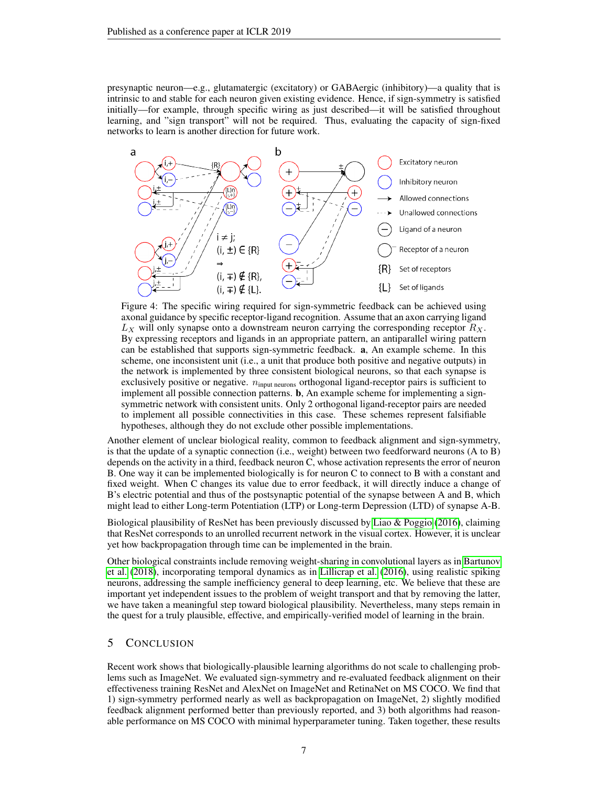presynaptic neuron—e.g., glutamatergic (excitatory) or GABAergic (inhibitory)—a quality that is intrinsic to and stable for each neuron given existing evidence. Hence, if sign-symmetry is satisfied initially—for example, through specific wiring as just described—it will be satisfied throughout learning, and "sign transport" will not be required. Thus, evaluating the capacity of sign-fixed networks to learn is another direction for future work.

<span id="page-6-0"></span>

Figure 4: The specific wiring required for sign-symmetric feedback can be achieved using axonal guidance by specific receptor-ligand recognition. Assume that an axon carrying ligand  $L_X$  will only synapse onto a downstream neuron carrying the corresponding receptor  $R_X$ . By expressing receptors and ligands in an appropriate pattern, an antiparallel wiring pattern can be established that supports sign-symmetric feedback. a, An example scheme. In this scheme, one inconsistent unit (i.e., a unit that produce both positive and negative outputs) in the network is implemented by three consistent biological neurons, so that each synapse is exclusively positive or negative.  $n_{input\ neurons}$  orthogonal ligand-receptor pairs is sufficient to implement all possible connection patterns. b, An example scheme for implementing a signsymmetric network with consistent units. Only 2 orthogonal ligand-receptor pairs are needed to implement all possible connectivities in this case. These schemes represent falsifiable hypotheses, although they do not exclude other possible implementations.

Another element of unclear biological reality, common to feedback alignment and sign-symmetry, is that the update of a synaptic connection (i.e., weight) between two feedforward neurons (A to B) depends on the activity in a third, feedback neuron C, whose activation represents the error of neuron B. One way it can be implemented biologically is for neuron C to connect to B with a constant and fixed weight. When C changes its value due to error feedback, it will directly induce a change of B's electric potential and thus of the postsynaptic potential of the synapse between A and B, which might lead to either Long-term Potentiation (LTP) or Long-term Depression (LTD) of synapse A-B.

Biological plausibility of ResNet has been previously discussed by [Liao & Poggio](#page-7-14) [\(2016\)](#page-7-14), claiming that ResNet corresponds to an unrolled recurrent network in the visual cortex. However, it is unclear yet how backpropagation through time can be implemented in the brain.

Other biological constraints include removing weight-sharing in convolutional layers as in [Bartunov](#page-7-1) [et al.](#page-7-1) [\(2018\)](#page-7-1), incorporating temporal dynamics as in [Lillicrap et al.](#page-8-1) [\(2016\)](#page-8-1), using realistic spiking neurons, addressing the sample inefficiency general to deep learning, etc. We believe that these are important yet independent issues to the problem of weight transport and that by removing the latter, we have taken a meaningful step toward biological plausibility. Nevertheless, many steps remain in the quest for a truly plausible, effective, and empirically-verified model of learning in the brain.

## 5 CONCLUSION

Recent work shows that biologically-plausible learning algorithms do not scale to challenging problems such as ImageNet. We evaluated sign-symmetry and re-evaluated feedback alignment on their effectiveness training ResNet and AlexNet on ImageNet and RetinaNet on MS COCO. We find that 1) sign-symmetry performed nearly as well as backpropagation on ImageNet, 2) slightly modified feedback alignment performed better than previously reported, and 3) both algorithms had reasonable performance on MS COCO with minimal hyperparameter tuning. Taken together, these results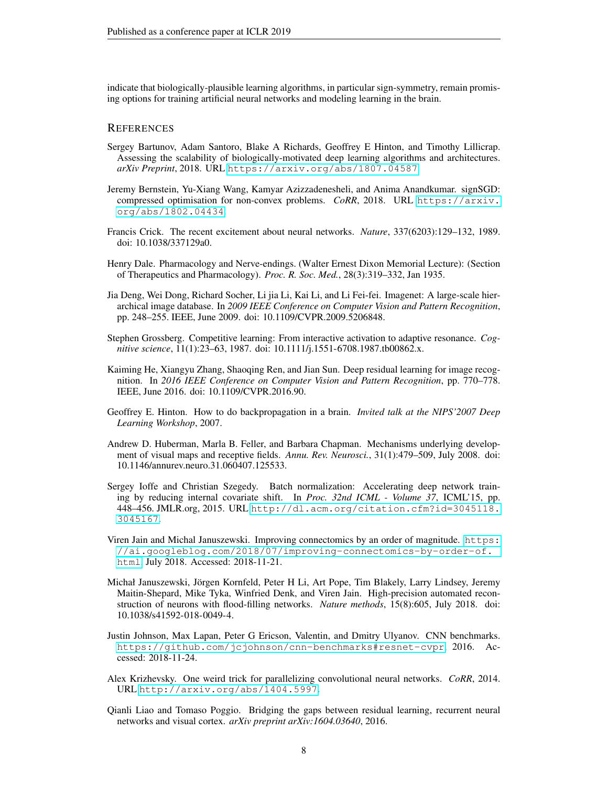indicate that biologically-plausible learning algorithms, in particular sign-symmetry, remain promising options for training artificial neural networks and modeling learning in the brain.

## **REFERENCES**

- <span id="page-7-1"></span>Sergey Bartunov, Adam Santoro, Blake A Richards, Geoffrey E Hinton, and Timothy Lillicrap. Assessing the scalability of biologically-motivated deep learning algorithms and architectures. *arXiv Preprint*, 2018. URL <https://arxiv.org/abs/1807.04587>.
- <span id="page-7-9"></span>Jeremy Bernstein, Yu-Xiang Wang, Kamyar Azizzadenesheli, and Anima Anandkumar. signSGD: compressed optimisation for non-convex problems. *CoRR*, 2018. URL [https://arxiv.](https://arxiv.org/abs/1802.04434) [org/abs/1802.04434](https://arxiv.org/abs/1802.04434).
- <span id="page-7-2"></span>Francis Crick. The recent excitement about neural networks. *Nature*, 337(6203):129–132, 1989. doi: 10.1038/337129a0.
- <span id="page-7-11"></span>Henry Dale. Pharmacology and Nerve-endings. (Walter Ernest Dixon Memorial Lecture): (Section of Therapeutics and Pharmacology). *Proc. R. Soc. Med.*, 28(3):319–332, Jan 1935.
- <span id="page-7-4"></span>Jia Deng, Wei Dong, Richard Socher, Li jia Li, Kai Li, and Li Fei-fei. Imagenet: A large-scale hierarchical image database. In *2009 IEEE Conference on Computer Vision and Pattern Recognition*, pp. 248–255. IEEE, June 2009. doi: 10.1109/CVPR.2009.5206848.
- <span id="page-7-0"></span>Stephen Grossberg. Competitive learning: From interactive activation to adaptive resonance. *Cognitive science*, 11(1):23–63, 1987. doi: 10.1111/j.1551-6708.1987.tb00862.x.
- <span id="page-7-5"></span>Kaiming He, Xiangyu Zhang, Shaoqing Ren, and Jian Sun. Deep residual learning for image recognition. In *2016 IEEE Conference on Computer Vision and Pattern Recognition*, pp. 770–778. IEEE, June 2016. doi: 10.1109/CVPR.2016.90.
- <span id="page-7-3"></span>Geoffrey E. Hinton. How to do backpropagation in a brain. *Invited talk at the NIPS'2007 Deep Learning Workshop*, 2007.
- <span id="page-7-10"></span>Andrew D. Huberman, Marla B. Feller, and Barbara Chapman. Mechanisms underlying development of visual maps and receptive fields. *Annu. Rev. Neurosci.*, 31(1):479–509, July 2008. doi: 10.1146/annurev.neuro.31.060407.125533.
- <span id="page-7-7"></span>Sergey Ioffe and Christian Szegedy. Batch normalization: Accelerating deep network training by reducing internal covariate shift. In *Proc. 32nd ICML - Volume 37*, ICML'15, pp. 448–456. JMLR.org, 2015. URL [http://dl.acm.org/citation.cfm?id=3045118.](http://dl.acm.org/citation.cfm?id=3045118.3045167) [3045167](http://dl.acm.org/citation.cfm?id=3045118.3045167).
- <span id="page-7-13"></span>Viren Jain and Michal Januszewski. Improving connectomics by an order of magnitude. [https:](https://ai.googleblog.com/2018/07/improving-connectomics-by-order-of.html) [//ai.googleblog.com/2018/07/improving-connectomics-by-order-of.](https://ai.googleblog.com/2018/07/improving-connectomics-by-order-of.html) [html](https://ai.googleblog.com/2018/07/improving-connectomics-by-order-of.html), July 2018. Accessed: 2018-11-21.
- <span id="page-7-12"></span>Michał Januszewski, Jorgen Kornfeld, Peter H Li, Art Pope, Tim Blakely, Larry Lindsey, Jeremy ¨ Maitin-Shepard, Mike Tyka, Winfried Denk, and Viren Jain. High-precision automated reconstruction of neurons with flood-filling networks. *Nature methods*, 15(8):605, July 2018. doi: 10.1038/s41592-018-0049-4.
- <span id="page-7-8"></span>Justin Johnson, Max Lapan, Peter G Ericson, Valentin, and Dmitry Ulyanov. CNN benchmarks. <https://github.com/jcjohnson/cnn-benchmarks#resnet-cvpr>, 2016. Accessed: 2018-11-24.
- <span id="page-7-6"></span>Alex Krizhevsky. One weird trick for parallelizing convolutional neural networks. *CoRR*, 2014. URL <http://arxiv.org/abs/1404.5997>.
- <span id="page-7-14"></span>Qianli Liao and Tomaso Poggio. Bridging the gaps between residual learning, recurrent neural networks and visual cortex. *arXiv preprint arXiv:1604.03640*, 2016.